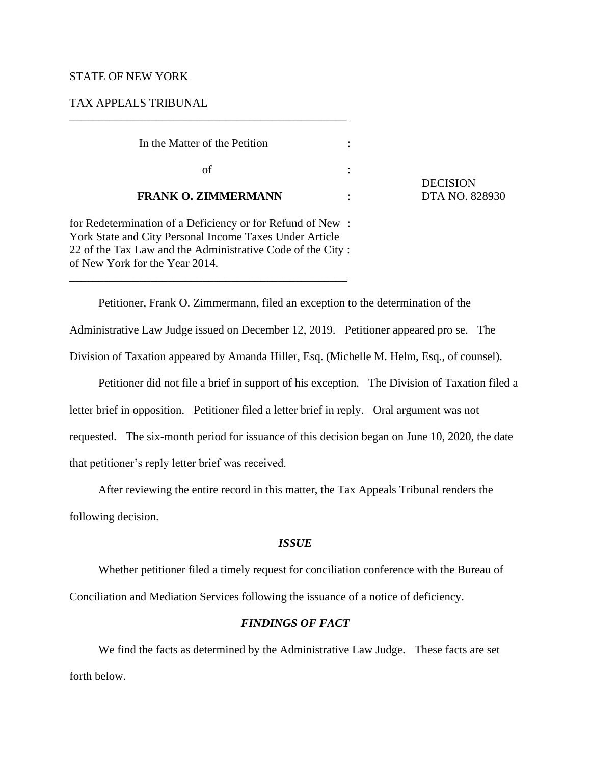## STATE OF NEW YORK

# TAX APPEALS TRIBUNAL

| In the Matter of the Petition                             |  |
|-----------------------------------------------------------|--|
| οf                                                        |  |
| <b>FRANK O. ZIMMERMANN</b>                                |  |
| for Redetermination of a Deficiency or for Refund of New: |  |

**DECISION DTA NO. 828930** 

for Redete York State and City Personal Income Taxes Under Article 22 of the Tax Law and the Administrative Code of the City : of New York for the Year 2014. \_\_\_\_\_\_\_\_\_\_\_\_\_\_\_\_\_\_\_\_\_\_\_\_\_\_\_\_\_\_\_\_\_\_\_\_\_\_\_\_\_\_\_\_\_\_\_\_

\_\_\_\_\_\_\_\_\_\_\_\_\_\_\_\_\_\_\_\_\_\_\_\_\_\_\_\_\_\_\_\_\_\_\_\_\_\_\_\_\_\_\_\_\_\_\_\_

Petitioner, Frank O. Zimmermann, filed an exception to the determination of the Administrative Law Judge issued on December 12, 2019. Petitioner appeared pro se. The Division of Taxation appeared by Amanda Hiller, Esq. (Michelle M. Helm, Esq., of counsel).

Petitioner did not file a brief in support of his exception. The Division of Taxation filed a letter brief in opposition. Petitioner filed a letter brief in reply. Oral argument was not requested. The six-month period for issuance of this decision began on June 10, 2020, the date that petitioner's reply letter brief was received.

After reviewing the entire record in this matter, the Tax Appeals Tribunal renders the

following decision.

## *ISSUE*

Whether petitioner filed a timely request for conciliation conference with the Bureau of Conciliation and Mediation Services following the issuance of a notice of deficiency.

## *FINDINGS OF FACT*

We find the facts as determined by the Administrative Law Judge. These facts are set forth below.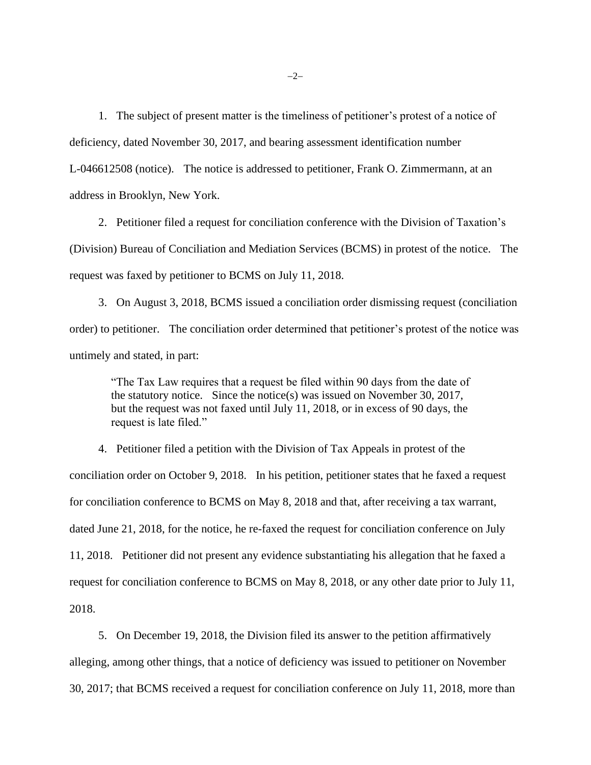1. The subject of present matter is the timeliness of petitioner's protest of a notice of deficiency, dated November 30, 2017, and bearing assessment identification number L-046612508 (notice). The notice is addressed to petitioner, Frank O. Zimmermann, at an address in Brooklyn, New York.

2. Petitioner filed a request for conciliation conference with the Division of Taxation's (Division) Bureau of Conciliation and Mediation Services (BCMS) in protest of the notice. The request was faxed by petitioner to BCMS on July 11, 2018.

3. On August 3, 2018, BCMS issued a conciliation order dismissing request (conciliation order) to petitioner. The conciliation order determined that petitioner's protest of the notice was untimely and stated, in part:

"The Tax Law requires that a request be filed within 90 days from the date of the statutory notice. Since the notice(s) was issued on November 30, 2017, but the request was not faxed until July 11, 2018, or in excess of 90 days, the request is late filed."

4. Petitioner filed a petition with the Division of Tax Appeals in protest of the conciliation order on October 9, 2018. In his petition, petitioner states that he faxed a request for conciliation conference to BCMS on May 8, 2018 and that, after receiving a tax warrant, dated June 21, 2018, for the notice, he re-faxed the request for conciliation conference on July 11, 2018. Petitioner did not present any evidence substantiating his allegation that he faxed a request for conciliation conference to BCMS on May 8, 2018, or any other date prior to July 11, 2018.

5. On December 19, 2018, the Division filed its answer to the petition affirmatively alleging, among other things, that a notice of deficiency was issued to petitioner on November 30, 2017; that BCMS received a request for conciliation conference on July 11, 2018, more than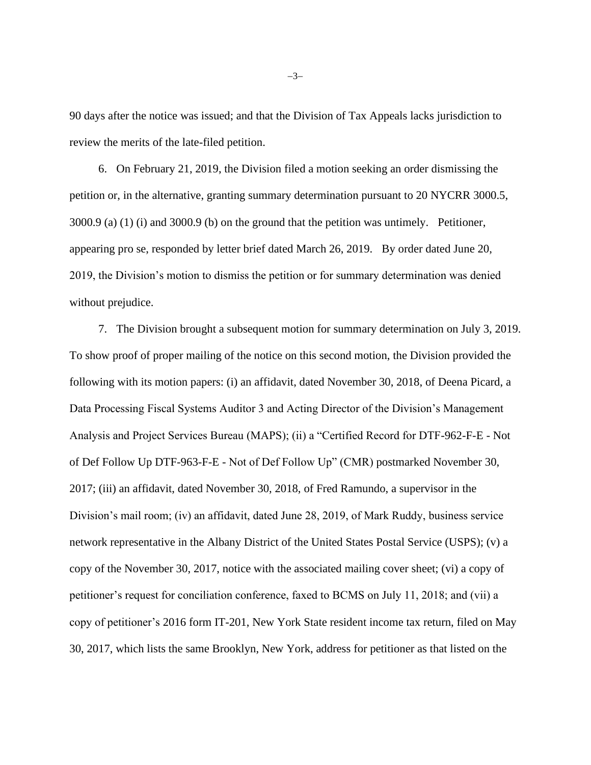90 days after the notice was issued; and that the Division of Tax Appeals lacks jurisdiction to review the merits of the late-filed petition.

6. On February 21, 2019, the Division filed a motion seeking an order dismissing the petition or, in the alternative, granting summary determination pursuant to 20 NYCRR 3000.5, 3000.9 (a) (1) (i) and 3000.9 (b) on the ground that the petition was untimely. Petitioner, appearing pro se, responded by letter brief dated March 26, 2019. By order dated June 20, 2019, the Division's motion to dismiss the petition or for summary determination was denied without prejudice.

7. The Division brought a subsequent motion for summary determination on July 3, 2019. To show proof of proper mailing of the notice on this second motion, the Division provided the following with its motion papers: (i) an affidavit, dated November 30, 2018, of Deena Picard, a Data Processing Fiscal Systems Auditor 3 and Acting Director of the Division's Management Analysis and Project Services Bureau (MAPS); (ii) a "Certified Record for DTF-962-F-E - Not of Def Follow Up DTF-963-F-E - Not of Def Follow Up" (CMR) postmarked November 30, 2017; (iii) an affidavit, dated November 30, 2018, of Fred Ramundo, a supervisor in the Division's mail room; (iv) an affidavit, dated June 28, 2019, of Mark Ruddy, business service network representative in the Albany District of the United States Postal Service (USPS); (v) a copy of the November 30, 2017, notice with the associated mailing cover sheet; (vi) a copy of petitioner's request for conciliation conference, faxed to BCMS on July 11, 2018; and (vii) a copy of petitioner's 2016 form IT-201, New York State resident income tax return, filed on May 30, 2017, which lists the same Brooklyn, New York, address for petitioner as that listed on the

−3−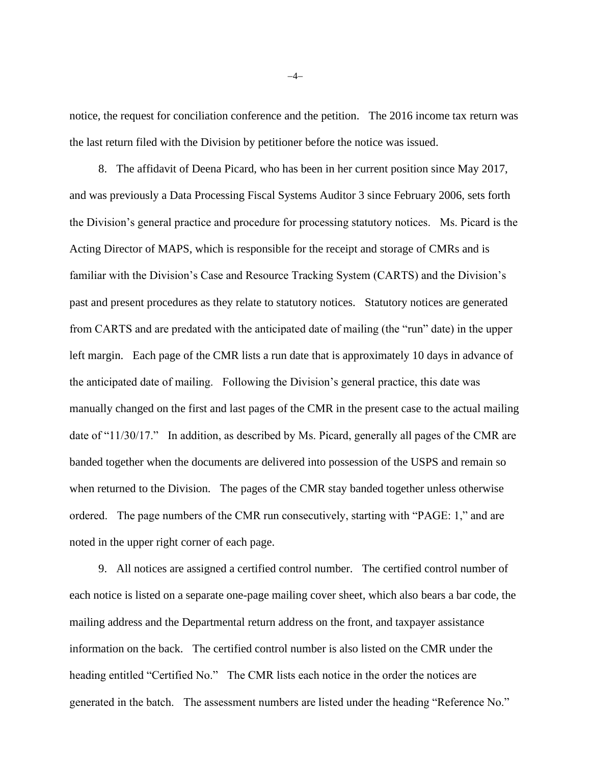notice, the request for conciliation conference and the petition. The 2016 income tax return was the last return filed with the Division by petitioner before the notice was issued.

8. The affidavit of Deena Picard, who has been in her current position since May 2017, and was previously a Data Processing Fiscal Systems Auditor 3 since February 2006, sets forth the Division's general practice and procedure for processing statutory notices. Ms. Picard is the Acting Director of MAPS, which is responsible for the receipt and storage of CMRs and is familiar with the Division's Case and Resource Tracking System (CARTS) and the Division's past and present procedures as they relate to statutory notices. Statutory notices are generated from CARTS and are predated with the anticipated date of mailing (the "run" date) in the upper left margin. Each page of the CMR lists a run date that is approximately 10 days in advance of the anticipated date of mailing. Following the Division's general practice, this date was manually changed on the first and last pages of the CMR in the present case to the actual mailing date of "11/30/17." In addition, as described by Ms. Picard, generally all pages of the CMR are banded together when the documents are delivered into possession of the USPS and remain so when returned to the Division. The pages of the CMR stay banded together unless otherwise ordered. The page numbers of the CMR run consecutively, starting with "PAGE: 1," and are noted in the upper right corner of each page.

9. All notices are assigned a certified control number. The certified control number of each notice is listed on a separate one-page mailing cover sheet, which also bears a bar code, the mailing address and the Departmental return address on the front, and taxpayer assistance information on the back. The certified control number is also listed on the CMR under the heading entitled "Certified No." The CMR lists each notice in the order the notices are generated in the batch. The assessment numbers are listed under the heading "Reference No."

−4−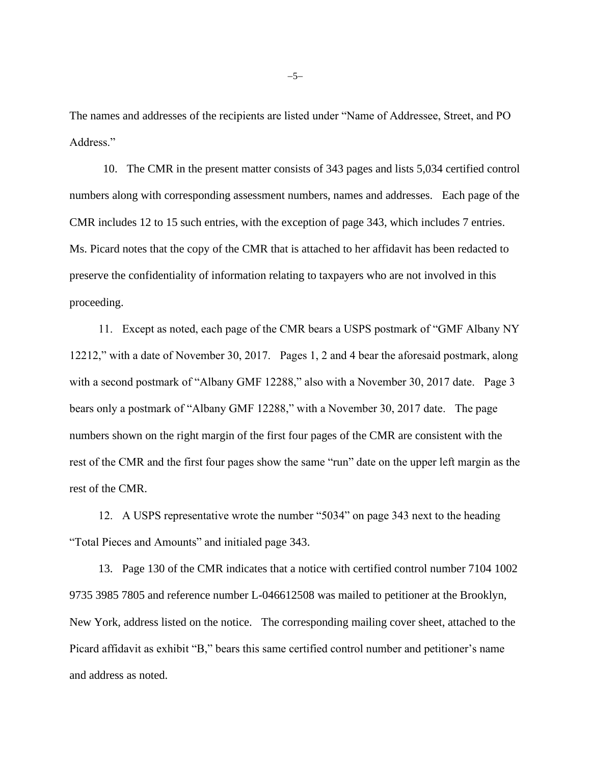The names and addresses of the recipients are listed under "Name of Addressee, Street, and PO Address."

10. The CMR in the present matter consists of 343 pages and lists 5,034 certified control numbers along with corresponding assessment numbers, names and addresses. Each page of the CMR includes 12 to 15 such entries, with the exception of page 343, which includes 7 entries. Ms. Picard notes that the copy of the CMR that is attached to her affidavit has been redacted to preserve the confidentiality of information relating to taxpayers who are not involved in this proceeding.

11. Except as noted, each page of the CMR bears a USPS postmark of "GMF Albany NY 12212," with a date of November 30, 2017. Pages 1, 2 and 4 bear the aforesaid postmark, along with a second postmark of "Albany GMF 12288," also with a November 30, 2017 date. Page 3 bears only a postmark of "Albany GMF 12288," with a November 30, 2017 date. The page numbers shown on the right margin of the first four pages of the CMR are consistent with the rest of the CMR and the first four pages show the same "run" date on the upper left margin as the rest of the CMR.

12. A USPS representative wrote the number "5034" on page 343 next to the heading "Total Pieces and Amounts" and initialed page 343.

13. Page 130 of the CMR indicates that a notice with certified control number 7104 1002 9735 3985 7805 and reference number L-046612508 was mailed to petitioner at the Brooklyn, New York, address listed on the notice. The corresponding mailing cover sheet, attached to the Picard affidavit as exhibit "B," bears this same certified control number and petitioner's name and address as noted.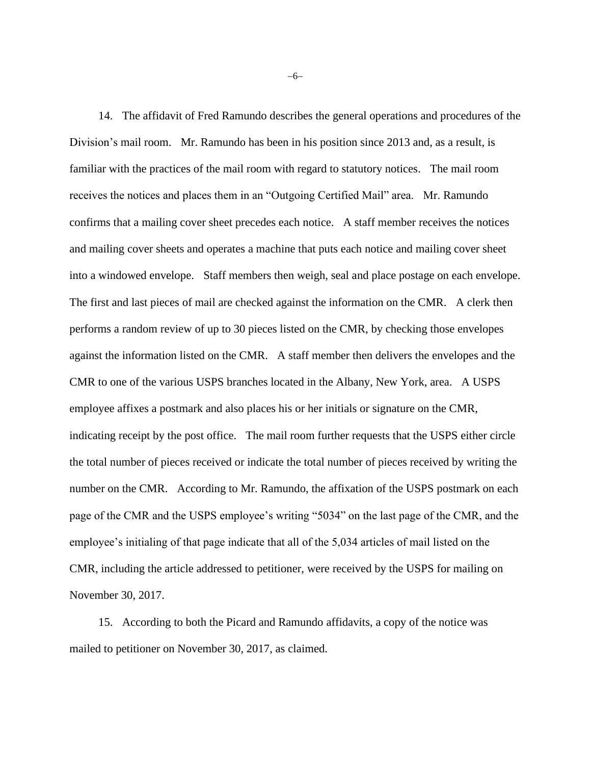14. The affidavit of Fred Ramundo describes the general operations and procedures of the Division's mail room. Mr. Ramundo has been in his position since 2013 and, as a result, is familiar with the practices of the mail room with regard to statutory notices. The mail room receives the notices and places them in an "Outgoing Certified Mail" area. Mr. Ramundo confirms that a mailing cover sheet precedes each notice. A staff member receives the notices and mailing cover sheets and operates a machine that puts each notice and mailing cover sheet into a windowed envelope. Staff members then weigh, seal and place postage on each envelope. The first and last pieces of mail are checked against the information on the CMR. A clerk then performs a random review of up to 30 pieces listed on the CMR, by checking those envelopes against the information listed on the CMR. A staff member then delivers the envelopes and the CMR to one of the various USPS branches located in the Albany, New York, area. A USPS employee affixes a postmark and also places his or her initials or signature on the CMR, indicating receipt by the post office. The mail room further requests that the USPS either circle the total number of pieces received or indicate the total number of pieces received by writing the number on the CMR. According to Mr. Ramundo, the affixation of the USPS postmark on each page of the CMR and the USPS employee's writing "5034" on the last page of the CMR, and the employee's initialing of that page indicate that all of the 5,034 articles of mail listed on the CMR, including the article addressed to petitioner, were received by the USPS for mailing on November 30, 2017.

15. According to both the Picard and Ramundo affidavits, a copy of the notice was mailed to petitioner on November 30, 2017, as claimed.

−6−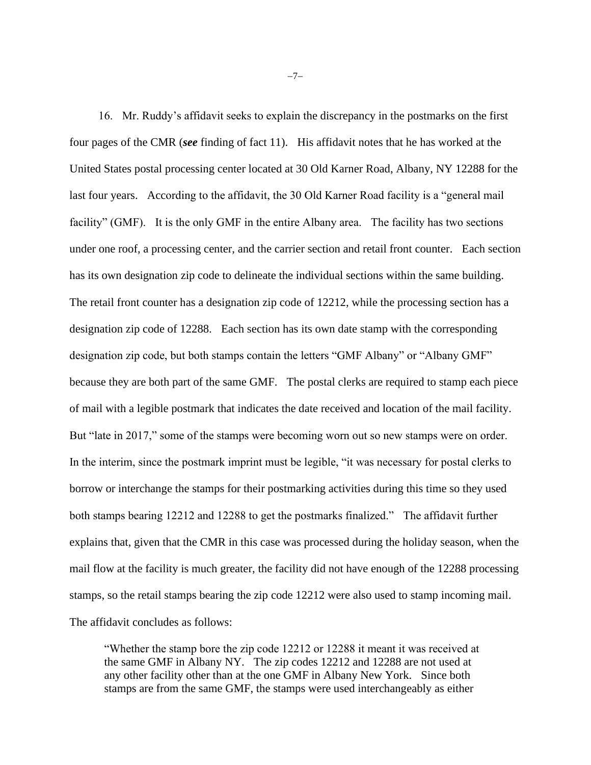16. Mr. Ruddy's affidavit seeks to explain the discrepancy in the postmarks on the first four pages of the CMR (*see* finding of fact 11). His affidavit notes that he has worked at the United States postal processing center located at 30 Old Karner Road, Albany, NY 12288 for the last four years. According to the affidavit, the 30 Old Karner Road facility is a "general mail facility" (GMF). It is the only GMF in the entire Albany area. The facility has two sections under one roof, a processing center, and the carrier section and retail front counter. Each section has its own designation zip code to delineate the individual sections within the same building. The retail front counter has a designation zip code of 12212, while the processing section has a designation zip code of 12288. Each section has its own date stamp with the corresponding designation zip code, but both stamps contain the letters "GMF Albany" or "Albany GMF" because they are both part of the same GMF. The postal clerks are required to stamp each piece of mail with a legible postmark that indicates the date received and location of the mail facility. But "late in 2017," some of the stamps were becoming worn out so new stamps were on order. In the interim, since the postmark imprint must be legible, "it was necessary for postal clerks to borrow or interchange the stamps for their postmarking activities during this time so they used both stamps bearing 12212 and 12288 to get the postmarks finalized." The affidavit further explains that, given that the CMR in this case was processed during the holiday season, when the mail flow at the facility is much greater, the facility did not have enough of the 12288 processing stamps, so the retail stamps bearing the zip code 12212 were also used to stamp incoming mail. The affidavit concludes as follows:

"Whether the stamp bore the zip code 12212 or 12288 it meant it was received at the same GMF in Albany NY. The zip codes 12212 and 12288 are not used at any other facility other than at the one GMF in Albany New York. Since both stamps are from the same GMF, the stamps were used interchangeably as either

−7−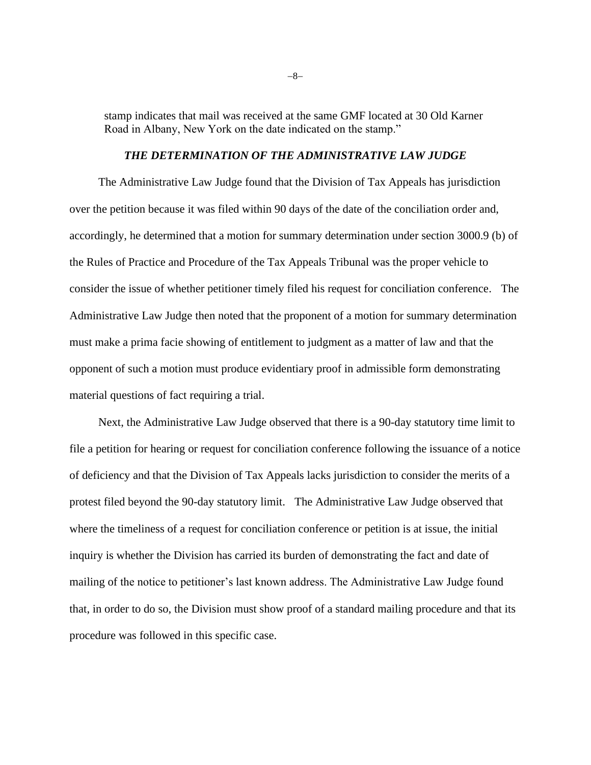stamp indicates that mail was received at the same GMF located at 30 Old Karner Road in Albany, New York on the date indicated on the stamp."

### *THE DETERMINATION OF THE ADMINISTRATIVE LAW JUDGE*

The Administrative Law Judge found that the Division of Tax Appeals has jurisdiction over the petition because it was filed within 90 days of the date of the conciliation order and, accordingly, he determined that a motion for summary determination under section 3000.9 (b) of the Rules of Practice and Procedure of the Tax Appeals Tribunal was the proper vehicle to consider the issue of whether petitioner timely filed his request for conciliation conference. The Administrative Law Judge then noted that the proponent of a motion for summary determination must make a prima facie showing of entitlement to judgment as a matter of law and that the opponent of such a motion must produce evidentiary proof in admissible form demonstrating material questions of fact requiring a trial.

Next, the Administrative Law Judge observed that there is a 90-day statutory time limit to file a petition for hearing or request for conciliation conference following the issuance of a notice of deficiency and that the Division of Tax Appeals lacks jurisdiction to consider the merits of a protest filed beyond the 90-day statutory limit. The Administrative Law Judge observed that where the timeliness of a request for conciliation conference or petition is at issue, the initial inquiry is whether the Division has carried its burden of demonstrating the fact and date of mailing of the notice to petitioner's last known address. The Administrative Law Judge found that, in order to do so, the Division must show proof of a standard mailing procedure and that its procedure was followed in this specific case.

−8−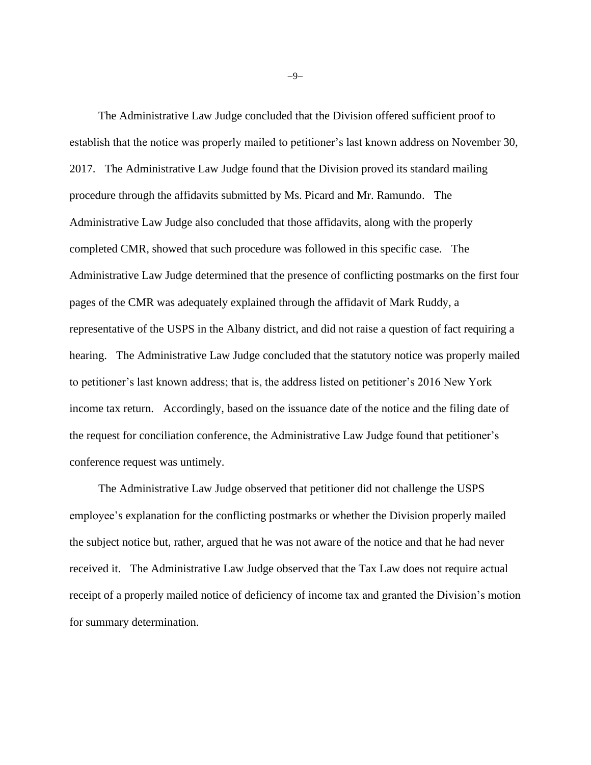The Administrative Law Judge concluded that the Division offered sufficient proof to establish that the notice was properly mailed to petitioner's last known address on November 30, 2017. The Administrative Law Judge found that the Division proved its standard mailing procedure through the affidavits submitted by Ms. Picard and Mr. Ramundo. The Administrative Law Judge also concluded that those affidavits, along with the properly completed CMR, showed that such procedure was followed in this specific case. The Administrative Law Judge determined that the presence of conflicting postmarks on the first four pages of the CMR was adequately explained through the affidavit of Mark Ruddy, a representative of the USPS in the Albany district, and did not raise a question of fact requiring a hearing. The Administrative Law Judge concluded that the statutory notice was properly mailed to petitioner's last known address; that is, the address listed on petitioner's 2016 New York income tax return. Accordingly, based on the issuance date of the notice and the filing date of the request for conciliation conference, the Administrative Law Judge found that petitioner's conference request was untimely.

The Administrative Law Judge observed that petitioner did not challenge the USPS employee's explanation for the conflicting postmarks or whether the Division properly mailed the subject notice but, rather, argued that he was not aware of the notice and that he had never received it. The Administrative Law Judge observed that the Tax Law does not require actual receipt of a properly mailed notice of deficiency of income tax and granted the Division's motion for summary determination.

−9−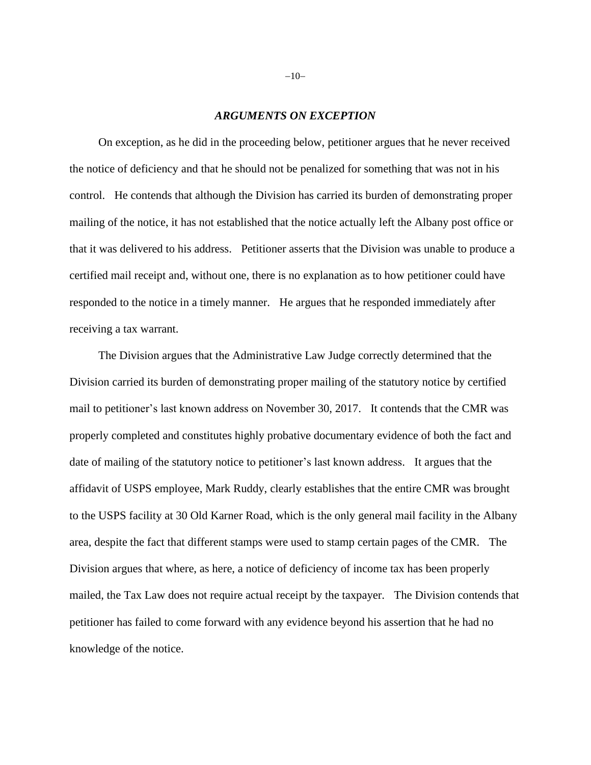#### *ARGUMENTS ON EXCEPTION*

On exception, as he did in the proceeding below, petitioner argues that he never received the notice of deficiency and that he should not be penalized for something that was not in his control. He contends that although the Division has carried its burden of demonstrating proper mailing of the notice, it has not established that the notice actually left the Albany post office or that it was delivered to his address. Petitioner asserts that the Division was unable to produce a certified mail receipt and, without one, there is no explanation as to how petitioner could have responded to the notice in a timely manner. He argues that he responded immediately after receiving a tax warrant.

The Division argues that the Administrative Law Judge correctly determined that the Division carried its burden of demonstrating proper mailing of the statutory notice by certified mail to petitioner's last known address on November 30, 2017. It contends that the CMR was properly completed and constitutes highly probative documentary evidence of both the fact and date of mailing of the statutory notice to petitioner's last known address. It argues that the affidavit of USPS employee, Mark Ruddy, clearly establishes that the entire CMR was brought to the USPS facility at 30 Old Karner Road, which is the only general mail facility in the Albany area, despite the fact that different stamps were used to stamp certain pages of the CMR. The Division argues that where, as here, a notice of deficiency of income tax has been properly mailed, the Tax Law does not require actual receipt by the taxpayer. The Division contends that petitioner has failed to come forward with any evidence beyond his assertion that he had no knowledge of the notice.

−10−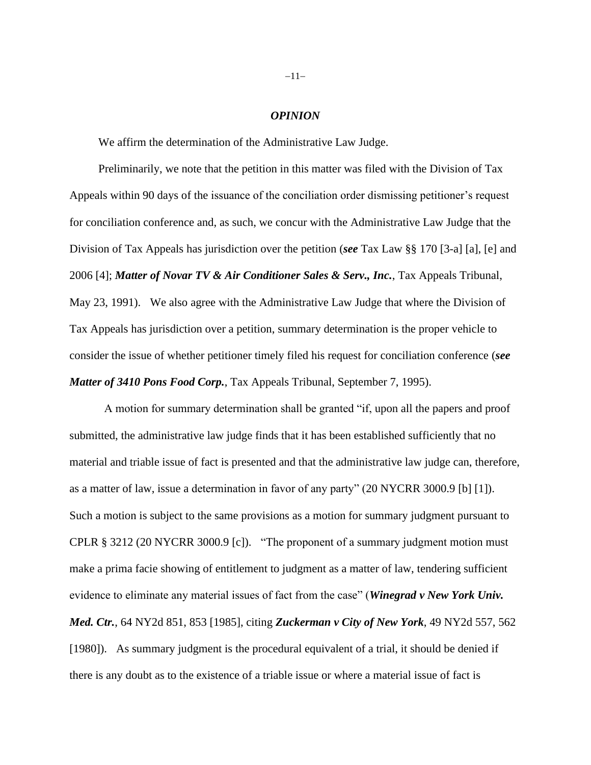#### *OPINION*

We affirm the determination of the Administrative Law Judge.

Preliminarily, we note that the petition in this matter was filed with the Division of Tax Appeals within 90 days of the issuance of the conciliation order dismissing petitioner's request for conciliation conference and, as such, we concur with the Administrative Law Judge that the Division of Tax Appeals has jurisdiction over the petition (*see* Tax Law §§ 170 [3-a] [a], [e] and 2006 [4]; *Matter of Novar TV & Air Conditioner Sales & Serv., Inc.*, Tax Appeals Tribunal, May 23, 1991). We also agree with the Administrative Law Judge that where the Division of Tax Appeals has jurisdiction over a petition, summary determination is the proper vehicle to consider the issue of whether petitioner timely filed his request for conciliation conference (*see Matter of 3410 Pons Food Corp.*, Tax Appeals Tribunal, September 7, 1995).

A motion for summary determination shall be granted "if, upon all the papers and proof submitted, the administrative law judge finds that it has been established sufficiently that no material and triable issue of fact is presented and that the administrative law judge can, therefore, as a matter of law, issue a determination in favor of any party" [\(20 NYCRR 3000.9](http://www.westlaw.com/Link/Document/FullText?findType=L&pubNum=1013028&cite=20NYADC3000.9&originatingDoc=I9898bcf6f1e611ea8c24c7be4f705cad&refType=LQ&originationContext=document&vr=3.0&rs=cblt1.0&transitionType=DocumentItem&contextData=(sc.Search)) [b] [1]). Such a motion is subject to the same provisions as a motion for summary judgment pursuant to CPLR § 3212 [\(20 NYCRR 3000.9](http://www.westlaw.com/Link/Document/FullText?findType=L&pubNum=1013028&cite=20NYADC3000.9&originatingDoc=I9898bcf6f1e611ea8c24c7be4f705cad&refType=LQ&originationContext=document&vr=3.0&rs=cblt1.0&transitionType=DocumentItem&contextData=(sc.Search)) [c]). "The proponent of a summary judgment motion must make a prima facie showing of entitlement to judgment as a matter of law, tendering sufficient evidence to eliminate any material issues of fact from the case" (*Winegrad v New York Univ. Med. Ctr.*, 64 NY2d 851, 853 [1985], citing *Zuckerman v City of New York*, 49 NY2d 557, 562 [1980]). As summary judgment is the procedural equivalent of a trial, it should be denied if there is any doubt as to the existence of a triable issue or where a material issue of fact is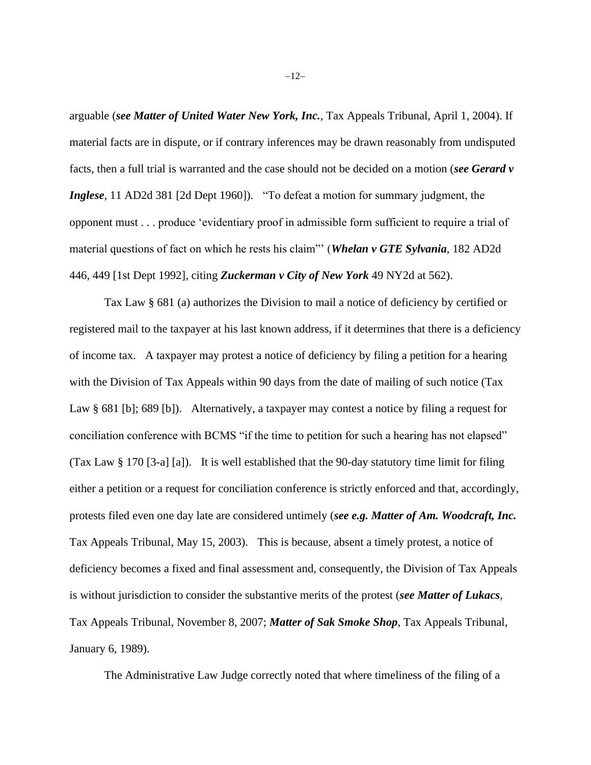arguable (*see Matter of United Water New York, Inc.*, Tax Appeals Tribunal, April 1, 2004). If material facts are in dispute, or if contrary inferences may be drawn reasonably from undisputed facts, then a full trial is warranted and the case should not be decided on a motion (*see Gerard v Inglese*, 11 AD2d 381 [2d Dept 1960]). "To defeat a motion for summary judgment, the opponent must . . . produce 'evidentiary proof in admissible form sufficient to require a trial of material questions of fact on which he rests his claim"' (*Whelan v GTE Sylvania*, 182 AD2d 446, 449 [1st Dept 1992], citing *Zuckerman v City of New York* 49 NY2d at 562).

Tax Law § 681 (a) authorizes the Division to mail a notice of deficiency by certified or registered mail to the taxpayer at his last known address, if it determines that there is a deficiency of income tax. A taxpayer may protest a notice of deficiency by filing a petition for a hearing with the Division of Tax Appeals within 90 days from the date of mailing of such notice (Tax Law § 681 [b]; 689 [b]). Alternatively, a taxpayer may contest a notice by filing a request for conciliation conference with BCMS "if the time to petition for such a hearing has not elapsed" (Tax Law § 170 [3-a] [a]). It is well established that the 90-day statutory time limit for filing either a petition or a request for conciliation conference is strictly enforced and that, accordingly, protests filed even one day late are considered untimely (*see e.g. Matter of Am. Woodcraft, Inc.* Tax Appeals Tribunal, May 15, 2003). This is because, absent a timely protest, a notice of deficiency becomes a fixed and final assessment and, consequently, the Division of Tax Appeals is without jurisdiction to consider the substantive merits of the protest (*see Matter of Lukacs*, Tax Appeals Tribunal, November 8, 2007; *Matter of Sak Smoke Shop*, Tax Appeals Tribunal, January 6, 1989).

The Administrative Law Judge correctly noted that where timeliness of the filing of a

−12−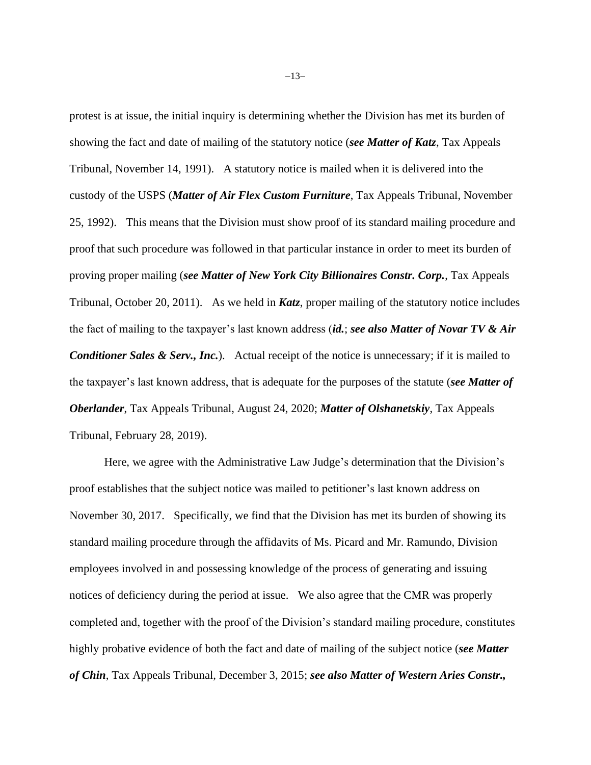protest is at issue, the initial inquiry is determining whether the Division has met its burden of showing the fact and date of mailing of the statutory notice (*see Matter of Katz*, Tax Appeals Tribunal, November 14, 1991). A statutory notice is mailed when it is delivered into the custody of the USPS (*Matter of Air Flex Custom Furniture*, Tax Appeals Tribunal, November 25, 1992). This means that the Division must show proof of its standard mailing procedure and proof that such procedure was followed in that particular instance in order to meet its burden of proving proper mailing (*see Matter of New York City Billionaires Constr. Corp.*, Tax Appeals Tribunal, October 20, 2011). As we held in *Katz*, proper mailing of the statutory notice includes the fact of mailing to the taxpayer's last known address (*id.*; *see also Matter of Novar TV & Air Conditioner Sales & Serv., Inc.*). Actual receipt of the notice is unnecessary; if it is mailed to the taxpayer's last known address, that is adequate for the purposes of the statute (*see Matter of Oberlander*, Tax Appeals Tribunal, August 24, 2020; *Matter of Olshanetskiy*, Tax Appeals Tribunal, February 28, 2019).

Here, we agree with the Administrative Law Judge's determination that the Division's proof establishes that the subject notice was mailed to petitioner's last known address on November 30, 2017. Specifically, we find that the Division has met its burden of showing its standard mailing procedure through the affidavits of Ms. Picard and Mr. Ramundo, Division employees involved in and possessing knowledge of the process of generating and issuing notices of deficiency during the period at issue. We also agree that the CMR was properly completed and, together with the proof of the Division's standard mailing procedure, constitutes highly probative evidence of both the fact and date of mailing of the subject notice (*see Matter of Chin*, Tax Appeals Tribunal, December 3, 2015; *see also Matter of Western Aries Constr.,*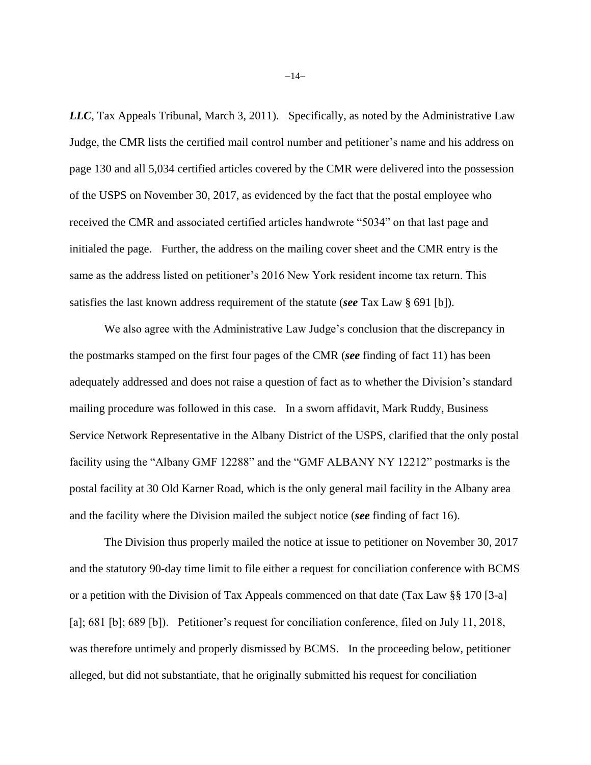*LLC*, Tax Appeals Tribunal, March 3, 2011). Specifically, as noted by the Administrative Law Judge, the CMR lists the certified mail control number and petitioner's name and his address on page 130 and all 5,034 certified articles covered by the CMR were delivered into the possession of the USPS on November 30, 2017, as evidenced by the fact that the postal employee who received the CMR and associated certified articles handwrote "5034" on that last page and initialed the page. Further, the address on the mailing cover sheet and the CMR entry is the same as the address listed on petitioner's 2016 New York resident income tax return. This satisfies the last known address requirement of the statute (*see* Tax Law § 691 [b]).

We also agree with the Administrative Law Judge's conclusion that the discrepancy in the postmarks stamped on the first four pages of the CMR (*see* finding of fact 11) has been adequately addressed and does not raise a question of fact as to whether the Division's standard mailing procedure was followed in this case. In a sworn affidavit, Mark Ruddy, Business Service Network Representative in the Albany District of the USPS, clarified that the only postal facility using the "Albany GMF 12288" and the "GMF ALBANY NY 12212" postmarks is the postal facility at 30 Old Karner Road, which is the only general mail facility in the Albany area and the facility where the Division mailed the subject notice (*see* finding of fact 16).

The Division thus properly mailed the notice at issue to petitioner on November 30, 2017 and the statutory 90-day time limit to file either a request for conciliation conference with BCMS or a petition with the Division of Tax Appeals commenced on that date (Tax Law §§ 170 [3-a] [a]; 681 [b]; 689 [b]). Petitioner's request for conciliation conference, filed on July 11, 2018, was therefore untimely and properly dismissed by BCMS. In the proceeding below, petitioner alleged, but did not substantiate, that he originally submitted his request for conciliation

−14−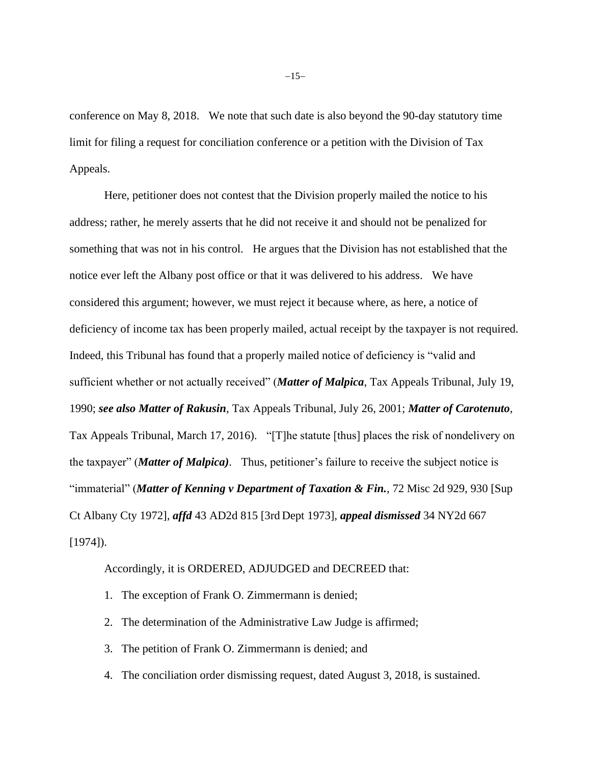conference on May 8, 2018. We note that such date is also beyond the 90-day statutory time limit for filing a request for conciliation conference or a petition with the Division of Tax Appeals.

Here, petitioner does not contest that the Division properly mailed the notice to his address; rather, he merely asserts that he did not receive it and should not be penalized for something that was not in his control. He argues that the Division has not established that the notice ever left the Albany post office or that it was delivered to his address. We have considered this argument; however, we must reject it because where, as here, a notice of deficiency of income tax has been properly mailed, actual receipt by the taxpayer is not required. Indeed, this Tribunal has found that a properly mailed notice of deficiency is "valid and sufficient whether or not actually received" (*Matter of Malpica*, Tax Appeals Tribunal, July 19, 1990; *see also Matter of Rakusin*, Tax Appeals Tribunal, July 26, 2001; *Matter of Carotenuto*, Tax Appeals Tribunal, March 17, 2016). "[T]he statute [thus] places the risk of nondelivery on the taxpayer" (*Matter of Malpica)*. Thus, petitioner's failure to receive the subject notice is "immaterial" (*Matter of Kenning v Department of Taxation & Fin.*, 72 Misc 2d 929, 930 [Sup Ct Albany Cty 1972], *affd* 43 AD2d 815 [3rd Dept 1973], *appeal dismissed* 34 NY2d 667  $[1974]$ .

Accordingly, it is ORDERED, ADJUDGED and DECREED that:

- 1. The exception of Frank O. Zimmermann is denied;
- 2. The determination of the Administrative Law Judge is affirmed;
- 3. The petition of Frank O. Zimmermann is denied; and
- 4. The conciliation order dismissing request, dated August 3, 2018, is sustained.